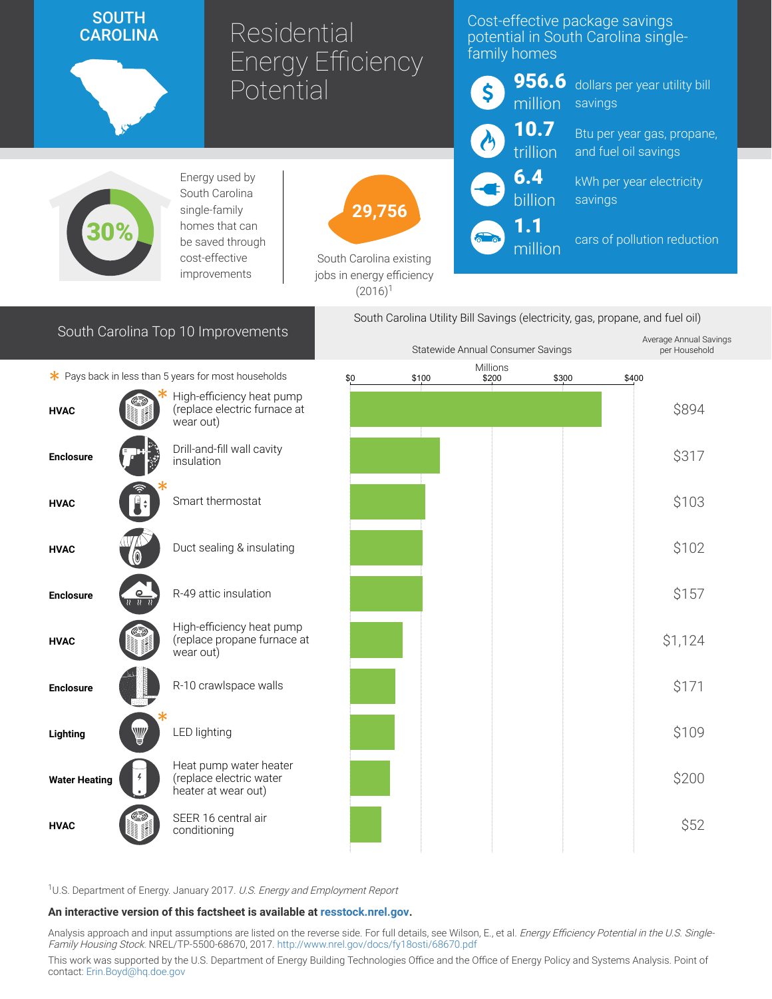# SOUTH<br>CAROLINA

Residential Energy Efficiency **Potential** 

### Cost-effective package savings potential in South Carolina singlefamily homes



Statewide Annual Consumer Savings

dollars per year utility bill savings

Btu per year gas, propane, and fuel oil savings

kWh per year electricity savings

cars of pollution reduction

per Household



Energy used by South Carolina single-family homes that can be saved through cost-effective improvements



South Carolina existing jobs in energy efficiency  $(2016)^1$ 

## South Carolina Top 10 Improvements

South Carolina Utility Bill Savings (electricity, gas, propane, and fuel oil) Average Annual Savings

million

|                      |                                     |                                                                          | Statewide Armuar Consumer Savings |       |                   |       | ber Linguaghold |         |
|----------------------|-------------------------------------|--------------------------------------------------------------------------|-----------------------------------|-------|-------------------|-------|-----------------|---------|
|                      |                                     | * Pays back in less than 5 years for most households                     | \$0                               | \$100 | Millions<br>\$200 | \$300 | \$400           |         |
| <b>HVAC</b>          |                                     | High-efficiency heat pump<br>(replace electric furnace at<br>wear out)   |                                   |       |                   |       |                 | \$894   |
| <b>Enclosure</b>     |                                     | Drill-and-fill wall cavity<br>insulation                                 |                                   |       |                   |       |                 | \$317   |
| <b>HVAC</b>          |                                     | Smart thermostat                                                         |                                   |       |                   |       |                 | \$103   |
| <b>HVAC</b>          |                                     | Duct sealing & insulating                                                |                                   |       |                   |       |                 | \$102   |
| <b>Enclosure</b>     | $\circ$<br>$\overline{\mathcal{U}}$ | R-49 attic insulation                                                    |                                   |       |                   |       |                 | \$157   |
| <b>HVAC</b>          |                                     | High-efficiency heat pump<br>(replace propane furnace at<br>wear out)    |                                   |       |                   |       |                 | \$1,124 |
| <b>Enclosure</b>     |                                     | R-10 crawlspace walls                                                    |                                   |       |                   |       |                 | \$171   |
| Lighting             | ₩                                   | LED lighting                                                             |                                   |       |                   |       |                 | \$109   |
| <b>Water Heating</b> |                                     | Heat pump water heater<br>(replace electric water<br>heater at wear out) |                                   |       |                   |       |                 | \$200   |
| <b>HVAC</b>          |                                     | SEER 16 central air<br>conditioning                                      |                                   |       |                   |       |                 | \$52    |
|                      |                                     |                                                                          |                                   |       |                   |       |                 |         |

<sup>1</sup>U.S. Department of Energy. January 2017. U.S. Energy and Employment Report

#### An interactive version of this factsheet is available at [resstock.nrel.gov.](https://resstock.nrel.gov/)

Analysis approach and input assumptions are listed on the reverse side. For full details, see Wilson, E., et al. *Energy Efficiency Potential in the U.S. Single*-Family Housing Stock. NREL/TP-5500-68670, 2017. <http://www.nrel.gov/docs/fy18osti/68670.pdf>

This work was supported by the U.S. Department of Energy Building Technologies Office and the Office of Energy Policy and Systems Analysis. Point of contact: [Erin.Boyd@hq.doe.gov](mailto:Erin.Boyd@hq.doe.gov)